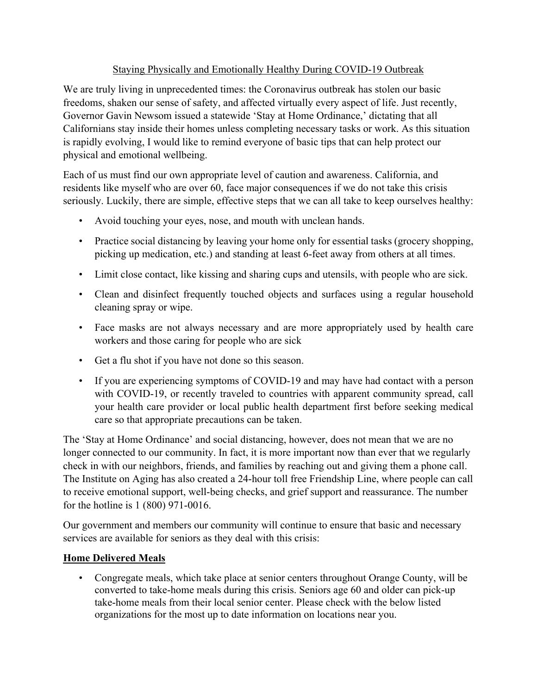## Staying Physically and Emotionally Healthy During COVID-19 Outbreak

We are truly living in unprecedented times: the Coronavirus outbreak has stolen our basic freedoms, shaken our sense of safety, and affected virtually every aspect of life. Just recently, Governor Gavin Newsom issued a statewide 'Stay at Home Ordinance,' dictating that all Californians stay inside their homes unless completing necessary tasks or work. As this situation is rapidly evolving, I would like to remind everyone of basic tips that can help protect our physical and emotional wellbeing.

Each of us must find our own appropriate level of caution and awareness. California, and residents like myself who are over 60, face major consequences if we do not take this crisis seriously. Luckily, there are simple, effective steps that we can all take to keep ourselves healthy:

- Avoid touching your eyes, nose, and mouth with unclean hands.
- Practice social distancing by leaving your home only for essential tasks (grocery shopping, picking up medication, etc.) and standing at least 6-feet away from others at all times.
- Limit close contact, like kissing and sharing cups and utensils, with people who are sick.
- Clean and disinfect frequently touched objects and surfaces using a regular household cleaning spray or wipe.
- Face masks are not always necessary and are more appropriately used by health care workers and those caring for people who are sick
- Get a flu shot if you have not done so this season.
- If you are experiencing symptoms of COVID-19 and may have had contact with a person with COVID-19, or recently traveled to countries with apparent community spread, call your health care provider or local public health department first before seeking medical care so that appropriate precautions can be taken.

The 'Stay at Home Ordinance' and social distancing, however, does not mean that we are no longer connected to our community. In fact, it is more important now than ever that we regularly check in with our neighbors, friends, and families by reaching out and giving them a phone call. The Institute on Aging has also created a 24-hour toll free Friendship Line, where people can call to receive emotional support, well-being checks, and grief support and reassurance. The number for the hotline is 1 (800) 971-0016.

Our government and members our community will continue to ensure that basic and necessary services are available for seniors as they deal with this crisis:

## **Home Delivered Meals**

• Congregate meals, which take place at senior centers throughout Orange County, will be converted to take-home meals during this crisis. Seniors age 60 and older can pick-up take-home meals from their local senior center. Please check with the below listed organizations for the most up to date information on locations near you.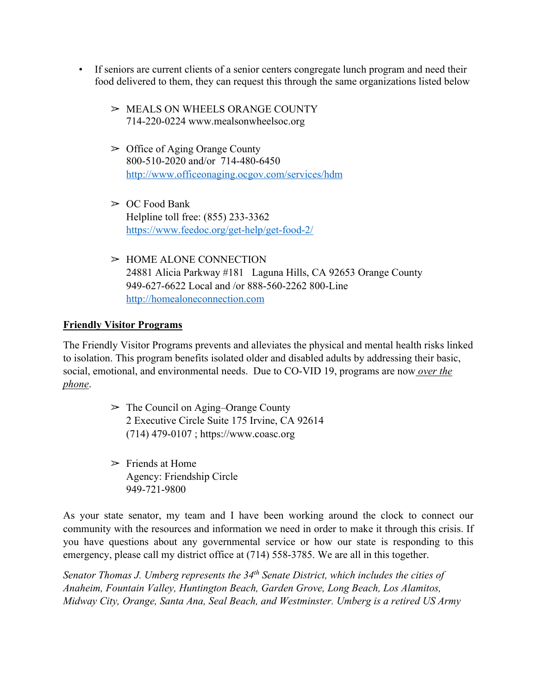- If seniors are current clients of a senior centers congregate lunch program and need their food delivered to them, they can request this through the same organizations listed below
	- $>$  MEALS ON WHEELS ORANGE COUNTY 714-220-0224 www.mealsonwheelsoc.org
	- $\geq$  Office of Aging Orange County 800-510-2020 and/or 714-480-6450 http://www.officeonaging.ocgov.com/services/hdm
	- $\geq$  OC Food Bank Helpline toll free: (855) 233-3362 https://www.feedoc.org/get-help/get-food-2/
	- ➢ HOME ALONE CONNECTION 24881 Alicia Parkway #181 Laguna Hills, CA 92653 Orange County 949-627-6622 Local and /or 888-560-2262 800-Line http://homealoneconnection.com

## **Friendly Visitor Programs**

The Friendly Visitor Programs prevents and alleviates the physical and mental health risks linked to isolation. This program benefits isolated older and disabled adults by addressing their basic, social, emotional, and environmental needs. Due to CO-VID 19, programs are now *over the phone*.

- $\geq$  The Council on Aging–Orange County 2 Executive Circle Suite 175 Irvine, CA 92614 (714) 479-0107 ; https://www.coasc.org
- $\triangleright$  Friends at Home Agency: Friendship Circle 949-721-9800

As your state senator, my team and I have been working around the clock to connect our community with the resources and information we need in order to make it through this crisis. If you have questions about any governmental service or how our state is responding to this emergency, please call my district office at (714) 558-3785. We are all in this together.

*Senator Thomas J. Umberg represents the 34th Senate District, which includes the cities of Anaheim, Fountain Valley, Huntington Beach, Garden Grove, Long Beach, Los Alamitos, Midway City, Orange, Santa Ana, Seal Beach, and Westminster. Umberg is a retired US Army*